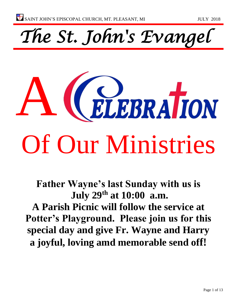*The St. John's Evangel* 



**Father Wayne's last Sunday with us is July 29th at 10:00 a.m. A Parish Picnic will follow the service at Potter's Playground. Please join us for this special day and give Fr. Wayne and Harry a joyful, loving amd memorable send off!**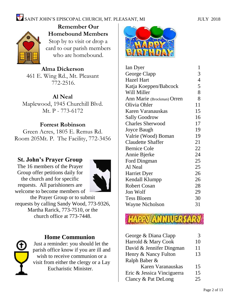

**Remember Our Homebound Members** Stop by to visit or drop a card to our parish members who are homebound.

**Alma Dickerson** 461 E. Wing Rd., Mt. Pleasant 772-2516.

**Al Neal**

Maplewood, 1945 Churchill Blvd. Mt. P - 773-6172

## **Forrest Robinson**

Green Acres, 1805 E. Remus Rd. Room 205Mt. P. The Facility, 772-3456

## **St. John's Prayer Group**

The 16 members of the Prayer Group offer petitions daily for the church and for specific requests. All parishioners are welcome to become members of



the Prayer Group or to submit requests by calling Sandy Wood, 773-9326, Martha Rarick, 773-7510, or the church office at 773-7448.



## **Home Communion**

Just a reminder: you should let the parish office know if you are ill and wish to receive communion or a visit from either the clergy or a Lay Eucharistic Minister.



| Ian Dyer                   | $\mathbf{1}$   |
|----------------------------|----------------|
| George Clapp               | 3              |
| <b>Hazel Hart</b>          | $\overline{4}$ |
| Katja Koeppen/Babcock      | 5              |
| Will Miller                | 8              |
| Ann Marie (Brockman) Orren | 8              |
| Olivia Ohler               | 11             |
| Karen Varanauskas          | 15             |
| <b>Sally Goodrow</b>       | 16             |
| <b>Charles Sherwood</b>    | 17             |
| <b>Joyce Baugh</b>         | 19             |
| Valrie (Wood) Boman        | 19             |
| <b>Claudette Shaffer</b>   | 21             |
| <b>Bernice Cole</b>        | 22             |
| Annie Bjerke               | 24             |
| Ford Dingman               | 25             |
| Al Neal                    | 25             |
| <b>Harriet Dyer</b>        | 26             |
| Kendall Klumpp             | 26             |
| <b>Robert Cosan</b>        | 28             |
| Jon Wolf                   | 29             |
| <b>Tess Bloem</b>          | 30             |
| <b>Wayne Nicholson</b>     | 31             |
|                            |                |

| George & Diana Clapp       | 3  |
|----------------------------|----|
| Harrold & Mary Cook        | 10 |
| David & Jennifer Dingman   | 11 |
| Henry & Nancy Fulton       | 13 |
| Ralph Baber &              |    |
| Karen Varanauskas          | 15 |
| Eric & Jessica Vinciguerra | 15 |
| Clancy & Pat DeLong        | 25 |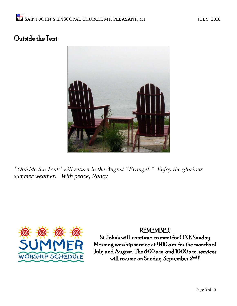## Outside the Tent



*"Outside the Tent" will return in the August "Evangel." Enjoy the glorious summer weather. With peace, Nancy*



## REMEMBER!

St. John's will continue to meet for ONE Sunday Morning worship service at 9:00 a.m. for the months of July and August. The 8:00 a.m. and 10:00 a.m. services will resume on Sunday, September  $2^{\rm nd}$  !!!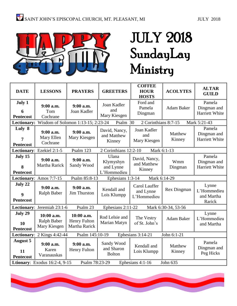

# JULY 2018 SundayLay Ministry

| <b>DATE</b>                                                                        | <b>LESSONS</b>                                                               | <b>PRAYERS</b>                              | <b>GREETERS</b>                                | <b>COFFEE</b><br><b>HOUR</b><br><b>HOSTS</b> | <b>ACOLYTES</b>     | <b>ALTAR</b><br><b>GUILD</b>                 |
|------------------------------------------------------------------------------------|------------------------------------------------------------------------------|---------------------------------------------|------------------------------------------------|----------------------------------------------|---------------------|----------------------------------------------|
| July 1<br>6<br><b>Pentecost</b>                                                    | $9:00$ a.m.<br>Tom<br>Cochrane                                               | 9:00 a.m.<br>Joan Kadler                    | Joan Kadler<br>and<br>Mary Kiesgen             | Ford and<br>Pamela<br>Dingman                | Adam Baker          | Pamela<br>Dingman and<br>Harriett White      |
| <b>Lectionary:</b>                                                                 |                                                                              | Wisdom of Solomon 1:13-15; 2:23-24          | Psalm 30                                       | 2 Corinthians 8:7-15                         |                     | Mark 5:21-43                                 |
| Luly 8<br>7<br><b>Pentecost</b>                                                    | 9:00 a.m.<br>Mary Ellen<br>Cochrane                                          | 9:00 a.m.<br>Mary Kiesgen                   | David, Nancy,<br>and Matthew<br>Kinney         | Joan Kadler<br>and<br>Mary Kiesgen           | Matthew<br>Kinney   | Pamela<br>Dingman and<br>Harriett White      |
|                                                                                    | Lectionary: Ezekiel 2:1-5                                                    | Psalm 123                                   | 2 Corinthians 12:2-10                          | Mark 6:1-13                                  |                     |                                              |
| July 15<br>8<br><b>Pentecost</b>                                                   | 9:00 a.m.<br>Martha Rarick                                                   | 9:00 a.m.<br>Sandy Wood                     | Ulana<br>Klymyshyn<br>and Lynne<br>L'Hommedieu | David, Nancy,<br>and Matthew<br>Kinney       | Wmm<br>Dingman      | Pamela<br>Dingman and<br>Harriett White      |
|                                                                                    | Psalm 85:8-13<br>Ephesians 1:3-14<br>Mark 6:14-29<br>Lectionary: Amos 7:7-15 |                                             |                                                |                                              |                     |                                              |
| July 22<br>$\boldsymbol{9}$<br><b>Pentecost</b>                                    | 9:00 a.m.<br>Ralph Baber                                                     | 9:00 a.m.<br>Jim Thurston                   | Kendall and<br>Lois Klumpp                     | Carol Lauffer<br>and Lynne<br>L'Hommedieu    | Rex Dingman         | Lynne<br>L'Hommedieu<br>and Martha<br>Rarick |
|                                                                                    | Lectionary: Jeremiah 23:1-6                                                  | Psalm 23                                    | Ephesians 2:11-22                              |                                              | Mark 6:30-34, 53-56 |                                              |
| July 29<br>10<br><b>Pentecost</b>                                                  | 10:00 a.m.<br>Ralph Baber<br>Mary Kiesgen                                    | 10:00 a.m.<br>Henry Fulton<br>Martha Rarick | Rod Lelsie and<br>Marian Matyn                 | The Vestry<br>of St. John's                  | Adam Baker          | Lynne<br>L'Hommedieu<br>and Martha           |
| Lectionary: 2 Kings 4:42-44<br>Psalm 145:10-19<br>Ephesians 3:14-21<br>John 6:1-21 |                                                                              |                                             |                                                |                                              |                     |                                              |
| <b>August 5</b><br>11<br><b>Pentecost</b>                                          | 9:00 a.m.<br>Karen<br>Varanauskas                                            | 9:00 a.m.<br>Henry Fulton                   | Sandy Wood<br>and Sharon<br><b>Bolton</b>      | Kendall and<br>Lois Klumpp                   | Matthew<br>Kinney   | Pamela<br>Dingman and<br>Peg Hicks           |
| Ltionary: Exodus 16:2-4, 9-15<br>Psalm 78:23-29<br>Ephesians 4:1-16<br>John 635    |                                                                              |                                             |                                                |                                              |                     |                                              |

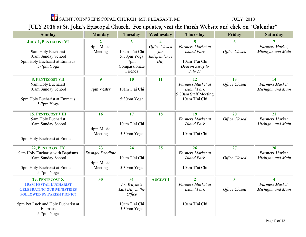$\sum_{i=1}^{N}$  SAINT JOHN'S EPISCOPAL CHURCH, MT. PLEASANT, MI  $\;$  JULY 2018

## JULY 2018 at St. John's Episcopal Church. For updates, visit the Parish Website and click on "Calendar"

| <b>Sunday</b>                                   | <b>Monday</b>           | Tuesday         | Wednesday            | <b>Thursday</b>                     | Friday                  | <b>Saturday</b>                            |
|-------------------------------------------------|-------------------------|-----------------|----------------------|-------------------------------------|-------------------------|--------------------------------------------|
|                                                 |                         |                 |                      |                                     |                         |                                            |
| <b>JULY 1, PENTECOST VI</b>                     | $\mathbf{2}$            | $\mathbf{3}$    | 4                    | 5<br>Farmers Market at              | 6                       | Farmers Market,                            |
| 9am Holy Eucharist                              | 4pm Music<br>Meeting    | 10am T'ai Chi   | Office Closed<br>for | <b>Island Park</b>                  | Office Closed           | Michigan and Main                          |
| 10am Sunday School                              |                         | 5:30pm Yoga     | Independence         |                                     |                         |                                            |
| 5pm Holy Eucharist at Emmaus                    |                         | 7pm             | Day                  | 10am T'ai Chi                       |                         |                                            |
| 5-7pm Yoga                                      |                         | Compassionate   |                      | Deacon Away to                      |                         |                                            |
|                                                 |                         | Friends         |                      | July 27                             |                         |                                            |
| 8, PENTECOST VII                                | 9                       | 10              | 11                   | 12                                  | 13                      | 14                                         |
| 9am Holy Eucharist                              |                         |                 |                      | Farmers Market at                   | Office Closed           | Farmers Market,                            |
| 10am Sunday School                              | 7pm Vestry              | 10am T'ai Chi   |                      | <b>Island Park</b>                  |                         | Michigan and Main                          |
|                                                 |                         |                 |                      | $9:30$ am Staff Meeting             |                         |                                            |
| 5pm Holy Eucharist at Emmaus                    |                         | 5:30pm Yoga     |                      | 10am T'ai Chi                       |                         |                                            |
| 5-7pm Yoga                                      |                         |                 |                      |                                     |                         |                                            |
| <b>15, PENTECOST VIII</b>                       | 16                      | $\overline{17}$ | <b>18</b>            | <b>19</b>                           | 20                      | $\overline{21}$                            |
| 9am Holy Eucharist                              |                         |                 |                      | Farmers Market at                   | Office Closed           | Farmers Market,                            |
| 10am Sunday School                              |                         | 10am T'ai Chi   |                      | <b>Island Park</b>                  |                         | Michigan and Main                          |
|                                                 | 4pm Music               |                 |                      |                                     |                         |                                            |
|                                                 | Meeting                 | 5:30pm Yoga     |                      | 10am T'ai Chi                       |                         |                                            |
| 5pm Holy Eucharist at Emmaus                    |                         |                 |                      |                                     |                         |                                            |
| 22, PENTECOST IX                                | 23                      | 24              | 25                   | 26                                  | 27                      | 28                                         |
| 9am Holy Eucharist with Baptisms                | <b>Evangel Deadline</b> |                 |                      | Farmers Market at                   |                         | Farmers Market,                            |
| 10am Sunday School                              |                         | 10am T'ai Chi   |                      | <b>Island Park</b>                  | Office Closed           | Michigan and Main                          |
|                                                 | 4pm Music               |                 |                      |                                     |                         |                                            |
| 5pm Holy Eucharist at Emmaus<br>5-7pm Yoga      | Meeting                 | 5:30pm Yoga     |                      | 10am T'ai Chi                       |                         |                                            |
|                                                 | 30                      | 31              |                      |                                     |                         |                                            |
| 29, PENTECOST X<br><b>10AM FESTAL EUCHARIST</b> |                         | Fr. Wayne's     | <b>AUGUST 1</b>      | $\overline{2}$<br>Farmers Market at | $\overline{\mathbf{3}}$ | $\overline{\mathbf{4}}$<br>Farmers Market, |
| <b>CELEBRATING OUR MINISTRIES</b>               |                         | Last Day in the |                      | <b>Island Park</b>                  | Office Closed           | Michigan and Main                          |
| <b>FOLLOWED BY PARISH PICNIC!</b>               |                         | Office          |                      |                                     |                         |                                            |
|                                                 |                         |                 |                      |                                     |                         |                                            |
| 5pm Pot Luck and Holy Eucharist at              |                         | 10am T'ai Chi   |                      | 10am T'ai Chi                       |                         |                                            |
| Emmaus                                          |                         | 5:30pm Yoga     |                      |                                     |                         |                                            |
| 5-7pm Yoga                                      |                         |                 |                      |                                     |                         |                                            |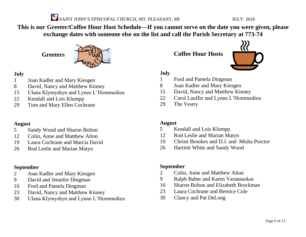

**This is our Greeter/Coffee Hour Host Schedule—If you cannot serve on the date you were given, please exchange dates with someone else on the list and call the Parish Secretary at 773-74**

## **Greeters**



## **July**

- Joan Kadler and Mary Kiesgen
- David, Nancy and Matthew Kinney
- Ulana Klymyshyn and Lynee L'Hommedieu
- Kendall and Lois Klumpp
- Tom and Mary Ellen Cochrane

## **August**

- Sandy Wood and Sharon Bolton
- Colin, Anne and Matthew Alton
- Laura Cochrane and Marcia David
- Rod Leslie and Marian Matyn

## **September**

- Joan Kadler and Mary Kiesgen
- David and Jennifer Dingman
- Ford and Pamela Dingman
- David, Nancy and Matthew Kinney
- Ulana Klymyshyn and Lynne L'Hommedieu

**Coffee Hour Hosts**



## **July**

- Ford and Pamela Dingman
- Joan Kadler and Mary Kiesgen
- David, Nancy and Matthew Kinney
- Carol Lauffer and Lynne L'Hommedieu
- The Vestry

## **August**

- Kendall and Lois Klumpp
- Rod Leslie and Marian Matyn
- Christi Brookes and D.J. and Misha Proctor
- Harriett White and Sandy Wood

## **September**

- Colin, Anne and Matthew Alton
- Ralph Baber and Karen Varanauskas
- Sharon Bolton and Elizabeth Brockman
- Laura Cochrane and Bernice Cole
- Clancy and Pat DeLong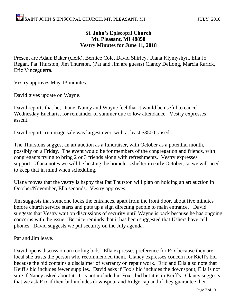## **St. John's Episcopal Church Mt. Pleasant, MI 48858 Vestry Minutes for June 11, 2018**

Present are Adam Baker (clerk), Bernice Cole, David Shirley, Ulana Klymyshyn, Ella Jo Regan, Pat Thurston, Jim Thurston, (Pat and Jim are guests) Clancy DeLong, Marcia Rarick, Eric Vinceguerra.

Vestry approves May 13 minutes.

David gives update on Wayne.

David reports that he, Diane, Nancy and Wayne feel that it would be useful to cancel Wednesday Eucharist for remainder of summer due to low attendance. Vestry expresses assent.

David reports rummage sale was largest ever, with at least \$3500 raised.

The Thurstons suggest an art auction as a fundraiser, with October as a potential month, possibly on a Friday. The event would be for members of the congregation and friends, with congregants trying to bring 2 or 3 friends along with refreshments. Vestry expresses support. Ulana notes we will be hosting the homeless shelter in early October, so we will need to keep that in mind when scheduling.

Ulana moves that the vestry is happy that Pat Thurston will plan on holding an art auction in October/November, Ella seconds. Vestry approves.

Jim suggests that someone locks the entrances, apart from the front door, about five minutes before church service starts and puts up a sign directing people to main entrance. David suggests that Vestry wait on discussions of security until Wayne is back because he has ongoing concerns with the issue. Bernice reminds that it has been suggested that Ushers have cell phones. David suggests we put security on the July agenda.

Pat and Jim leave.

David opens discussion on roofing bids. Ella expresses preference for Fox because they are local she trusts the person who recommended them. Clancy expresses concern for Kieff's bid because the bid contains a disclaimer of warranty on repair work. Eric and Ella also note that Keiff's bid includes fewer supplies. David asks if Fox's bid includes the downspout, Ella is not sure if Nancy asked about it. It is not included in Fox's bid but it is in Keiff's. Clancy suggests that we ask Fox if their bid includes downspout and Ridge cap and if they guarantee their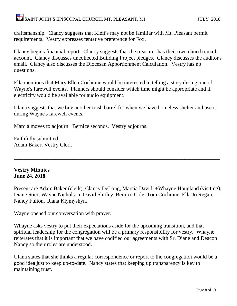craftsmanship. Clancy suggests that Kieff's may not be familiar with Mt. Pleasant permit requirements. Vestry expresses tentative preference for Fox.

Clancy begins financial report. Clancy suggests that the treasurer has their own church email account. Clancy discusses uncollected Building Project pledges. Clancy discusses the auditor's email. Clancy also discusses the Diocesan Apportionment Calculation. Vestry has no questions.

Ella mentions that Mary Ellen Cochrane would be interested in telling a story during one of Wayne's farewell events. Planners should consider which time might be appropriate and if electricity would be available for audio equipment.

Ulana suggests that we buy another trash barrel for when we have homeless shelter and use it during Wayne's farewell events.

Marcia moves to adjourn. Bernice seconds. Vestry adjourns.

Faithfully submitted, Adam Baker, Vestry Clerk

## **Vestry Minutes June 24, 2018**

Present are Adam Baker (clerk), Clancy DeLong, Marcia David, +Whayne Hougland (visiting), Diane Stier, Wayne Nicholson, David Shirley, Bernice Cole, Tom Cochrane, Ella Jo Regan, Nancy Fulton, Ulana Klymyshyn.

\_\_\_\_\_\_\_\_\_\_\_\_\_\_\_\_\_\_\_\_\_\_\_\_\_\_\_\_\_\_\_\_\_\_\_\_\_\_\_\_\_\_\_\_\_\_\_\_\_\_\_\_\_\_\_\_\_\_\_\_\_\_\_\_\_\_\_\_\_\_\_\_\_\_\_\_

Wayne opened our conversation with prayer.

Whayne asks vestry to put their expectations aside for the upcoming transition, and that spiritual leadership for the congregation will be a primary responsibility for vestry. Whayne reiterates that it is important that we have codified our agreements with Sr. Diane and Deacon Nancy so their roles are understood.

Ulana states that she thinks a regular correspondence or report to the congregation would be a good idea just to keep up-to-date. Nancy states that keeping up transparency is key to maintaining trust.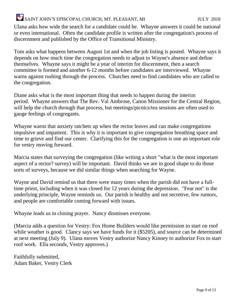Ulana asks how wide the search for a candidate could be. Whayne answers it could be national or even international. Often the candidate profile is written after the congregation's process of discernment and published by the Office of Transitional Ministry.

Tom asks what happens between August 1st and when the job listing is posted. Whayne says it depends on how much time the congregation needs to adjust to Wayne's absence and define themselves. Whayne says it might be a year of interim for discernment, then a search committee is formed and another 6-12 months before candidates are interviewed. Whayne warns against rushing through the process. Churches need to find candidates who are called to the congregation.

Diane asks what is the most important thing that needs to happen during the interim period. Whayne answers that The Rev. Val Ambrose, Canon Missioner for the Central Region, will help the church through that process, but meetings/picnics/tea sessions are often used to gauge feelings of congregants.

Whayne warns that anxiety ratchets up when the rector leaves and can make congregations impulsive and impatient. This is why it is important to give congregation breathing space and time to grieve and find our center. Clarifying this for the congregation is one an important role for vestry moving forward.

Marcia states that surveying the congregation (like writing a short "what is the most important aspect of a rector? survey) will be important. David thinks we are in good shape to do those sorts of surveys, because we did similar things when searching for Wayne.

Wayne and David remind us that there were many times when the parish did not have a fulltime priest, including when it was closed for 12 years during the depression. "Fear not" is the underlying principle, Wayne reminds us. Our parish is healthy and not secretive, few rumors, and people are comfortable coming forward with issues.

Whayne leads us in closing prayer. Nancy dismisses everyone.

(Marcia adds a question for Vestry: Fox Home Builders would like permission to start on roof while weather is good. Clancy says we have funds for it (\$5205), and source can be determined at next meeting (July 9). Ulana moves Vestry authorize Nancy Kinney to authorize Fox to start roof work. Ella seconds, Vestry approves.)

Faithfully submitted, Adam Baker, Vestry Clerk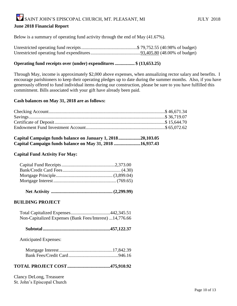### **June 2018 Financial Report**

Below is a summary of operating fund activity through the end of May (41.67%).

Unrestricted operating fund receipts................................................\$ 79,752.55 (40.98% of budget) Unrestricted operating fund expenditures...........................................93,405.80 (48.00% of budget)

### **Operating fund receipts over (under) expenditures ................. \$ (13,653.25)**

Through May, income is approximately \$2,000 above expenses, when annualizing rector salary and benefits. I encourage parishioners to keep their operating pledges up to date during the summer months. Also, if you have generously offered to fund individual items during our construction, please be sure to you have fulfilled this commitment. Bills associated with your gift have already been paid.

#### **Cash balances on May 31, 2018 are as follows:**

| Capital Campaign funds balance on January 1, 201820,103.05 |  |
|------------------------------------------------------------|--|
| Capital Campaign funds balance on May 31, 2018 16,937.43   |  |

#### **Capital Fund Activity For May:**

|--|--|--|--|

### **BUILDING PROJECT**

| Non-Capitalized Expenses (Bank Fees/Interest) 14,776.66 |  |
|---------------------------------------------------------|--|

|--|--|--|--|--|

Anticipated Expenses:

### **TOTAL PROJECT COST.....................................475,910.92**

Clancy DeLong, Treasuere St. John's Episcopal Church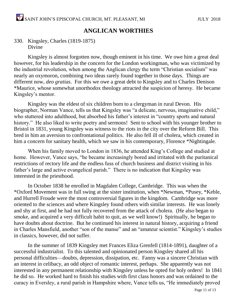## **ANGLICAN WORTHIES**

## 330. Kingsley, Charles (1819-1875) Divine

Kingsley is almost forgotten now, though eminent in his time. We owe him a great deal however, for his leadership in the concern for the London workingman, who was victimized by the industrial revolution, when among the Anglican clergy the term "Christian socialism" was nearly an oxymoron, combining two ideas rarely found together in those days. Things are different now, *deo gratias*. For this we owe a great debt to Kingsley and to Charles Denison \*Maurice, whose somewhat unorthodox theology attracted the suspicion of heresy. He became Kingsley's mentor.

Kingsley was the eldest of six children born to a clergyman in rural Devon. His biographer, Norman Vance, tells us that Kingsley was "a delicate, nervous, imaginative child," who stuttered into adulthood, but absorbed his father's interest in "country sports and natural history." He also liked to write poetry and sermons! Sent to school with his younger brother to Bristol in 1831, young Kingsley was witness to the riots in the city over the Reform Bill. This bred in him an aversion to confrontational politics. He also fell ill of cholera, which created in him a concern for sanitary health, which we saw in his contemporary, Florence \*Nightingale.

When his family moved to London in 1836, he attended King's College and studied at home. However, Vance says, "he became increasingly bored and irritated with the puritanical restrictions of rectory life and the endless fuss of church business and district visiting in his father's large and active evangelical parish." There is no indication that Kingsley was interested in the priesthood.

In October 1838 he enrolled in Magdalen College, Cambridge. This was when the \*Oxford Movement was in full swing at the sister institution, when \*Newman, \*Pusey, \*Keble, and Hurrell Froude were the most controversial figures in the kingdom. Cambridge was more oriented to the sciences and where Kingsley found others with similar interests. He was lonely and shy at first, and he had not fully recovered from the attack of cholera. (He also began to smoke, and acquired a very difficult habit to quit, as we well know!) Spiritually, he began to have doubts about doctrine. But he continued his interest in natural history, acquiring a friend in Charles Mansfield, another "son of the manse" and an "amateur scientist." Kingsley's studies in classics, however, did not suffer.

In the summer of 1839 Kingsley met Frances Eliza Grenfell (1814-1891), daughter of a successful industrialist. To this talented and opinionated person Kingsley shared all his personal difficulties—doubts, depression, dissipation, etc. Fanny was a sincere Christian with an interest in celibacy, an odd object of romantic interest, perhaps. She apparently was not interested in any permanent relationship with Kingsley unless he opted for holy orders! In 1841 he did so. He worked hard to finish his studies with first class honors and was ordained to the curacy in Eversley, a rural parish in Hampshire where, Vance tells us, "He immediately proved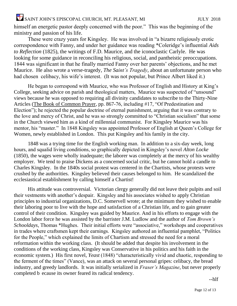himself an energetic pastor deeply concerned with the poor." This was the beginning of the ministry and passion of his life.

These were crazy years for Kingsley. He was involved in "a bizarre religiously erotic correspondence with Fanny, and under her guidance was reading \*Coleridge's influential *Aids*  to *Reflection* (1825), the writings of F.D. Maurice, and the iconoclastic Carlyle. He was looking for some guidance in reconciling his religious, social, and pantheistic preoccupations. 1844 was significant in that he finally married Fanny over her parents' objections, and he met Maurice. He also wrote a verse-tragedy*, The Saint's Tragedy*, about an unfortunate person who had chosen celibacy, his wife's interest. (It was not popular, but Prince Albert liked it.)

He began to correspond with Maurice, who was Professor of English and History at King's College, seeking advice on parish and theological matters, Maurice was suspected of "unsound" views because he was opposed to requiring all divinity candidates to subscribe to the Thirty-Nine Articles (The Book of Common Prayer, pp. 867-76, including #17, "Of Predestination and Election"); he rejected the popular doctrine of eternal punishment, arguing that it was contrary to the love and mercy of Christ, and he was so strongly committed to "Christian socialism" that some in the Church viewed him as a kind of millennial communist. For Kingsley Maurice was his mentor, his "master." In 1848 Kingsley was appointed Professor of English at Queen's College for Women, newly established in London. This put Kingsley and his family in the city.

1848 was a trying time for the English working man. In addition to a six-day week, long hours, and squalid living conditions, so graphically depicted in Kingsley's novel *Alton Locke* (1850), the wages were wholly inadequate; the laborer was completely at the mercy of his wealthy employer. We tend to praise Dickens as a concerned social critic, but he cannot hold a candle to Charles Kingsley. In the 1840s social protest was centered in the Chartists, whose protests were crushed by the authorities. Kingsley believed their causes belonged to him. He scandalized the ecclesiastical establishment by calling himself a Chartist!

His attitude was controversial. Victorian clergy generally did not leave their pulpits and soil their vestments with another's despair. Kingsley and his associates wished to apply Christian principles to industrial organizations, D.C. Somervell wrote; at the minimum they wished to enable their laboring poor to live with the hope and satisfaction of a Christian life, and to gain greater control of their condition. Kingsley was guided by Maurice. And in his efforts to engage with the London labor force he was assisted by the barrister J.M. Ludlow and the author of *Tom Brown's Schooldays*, Thomas \*Hughes. Their initial efforts were "associative," workshops and cooperatives in trades where craftsmen kept their earnings. Kingsley authored an influential pamphlet, "Politics for the People," which explained the limits of Chartism and stressed the need for a moral reformation within the working class. (It should be added that despite his involvement in the conditions of the working class, Kingsley was Conservative in his politics and his faith in the economic system.) His first novel, *Yeast* (1848) "characteristically vivid and chaotic, responding to the ferment of the times" (Vance), was an attack on several personal gripes: celibacy, the bread industry, and greedy landlords. It was initially serialized in *Fraser's Magazine*, but never properly completed b ecause its owner feared its radical tendency.

--hlf